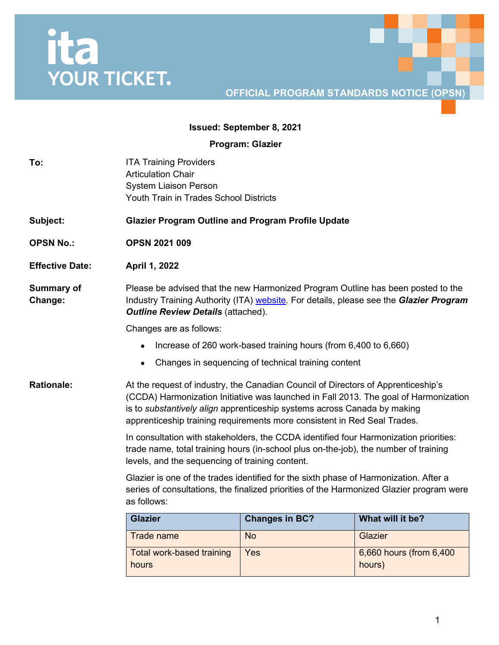# ita<br>YOUR TICKET.

# **OFFICIAL PROGRAM STANDARDS NOTICE (OPSN)**

## **Issued: September 8, 2021**

**Program: Glazier**

| To:                          | <b>ITA Training Providers</b><br><b>Articulation Chair</b><br><b>System Liaison Person</b>                                                                                                                                                                                                                                        |                                                     |                                   |  |  |  |
|------------------------------|-----------------------------------------------------------------------------------------------------------------------------------------------------------------------------------------------------------------------------------------------------------------------------------------------------------------------------------|-----------------------------------------------------|-----------------------------------|--|--|--|
|                              | Youth Train in Trades School Districts                                                                                                                                                                                                                                                                                            |                                                     |                                   |  |  |  |
| Subject:                     | <b>Glazier Program Outline and Program Profile Update</b>                                                                                                                                                                                                                                                                         |                                                     |                                   |  |  |  |
| <b>OPSN No.:</b>             | <b>OPSN 2021 009</b>                                                                                                                                                                                                                                                                                                              |                                                     |                                   |  |  |  |
| <b>Effective Date:</b>       | April 1, 2022                                                                                                                                                                                                                                                                                                                     |                                                     |                                   |  |  |  |
| <b>Summary of</b><br>Change: | Please be advised that the new Harmonized Program Outline has been posted to the<br>Industry Training Authority (ITA) website. For details, please see the Glazier Program<br><b>Outline Review Details (attached).</b>                                                                                                           |                                                     |                                   |  |  |  |
|                              | Changes are as follows:                                                                                                                                                                                                                                                                                                           |                                                     |                                   |  |  |  |
|                              | Increase of 260 work-based training hours (from 6,400 to 6,660)                                                                                                                                                                                                                                                                   |                                                     |                                   |  |  |  |
|                              |                                                                                                                                                                                                                                                                                                                                   | Changes in sequencing of technical training content |                                   |  |  |  |
| <b>Rationale:</b>            | At the request of industry, the Canadian Council of Directors of Apprenticeship's<br>(CCDA) Harmonization Initiative was launched in Fall 2013. The goal of Harmonization<br>is to substantively align apprenticeship systems across Canada by making<br>apprenticeship training requirements more consistent in Red Seal Trades. |                                                     |                                   |  |  |  |
|                              | In consultation with stakeholders, the CCDA identified four Harmonization priorities:<br>trade name, total training hours (in-school plus on-the-job), the number of training<br>levels, and the sequencing of training content.                                                                                                  |                                                     |                                   |  |  |  |
|                              | Glazier is one of the trades identified for the sixth phase of Harmonization. After a<br>series of consultations, the finalized priorities of the Harmonized Glazier program were<br>as follows:                                                                                                                                  |                                                     |                                   |  |  |  |
|                              | <b>Glazier</b>                                                                                                                                                                                                                                                                                                                    | <b>Changes in BC?</b>                               | What will it be?                  |  |  |  |
|                              | <b>Trade name</b>                                                                                                                                                                                                                                                                                                                 | <b>No</b>                                           | Glazier                           |  |  |  |
|                              | Total work-based training<br>hours                                                                                                                                                                                                                                                                                                | Yes                                                 | 6,660 hours (from 6,400<br>hours) |  |  |  |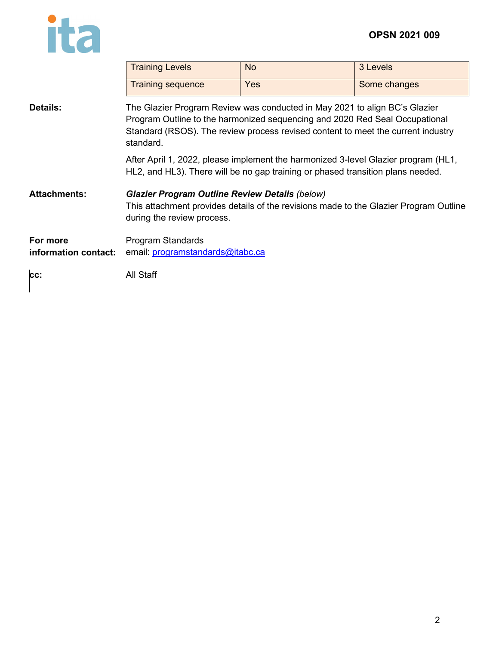

 $\blacksquare$ 

|                                  | <b>Training Levels</b>                                                                                                                                                                                                                                     | <b>No</b> | 3 Levels     |  |  |  |
|----------------------------------|------------------------------------------------------------------------------------------------------------------------------------------------------------------------------------------------------------------------------------------------------------|-----------|--------------|--|--|--|
|                                  | <b>Training sequence</b>                                                                                                                                                                                                                                   | Yes       | Some changes |  |  |  |
| <b>Details:</b>                  | The Glazier Program Review was conducted in May 2021 to align BC's Glazier<br>Program Outline to the harmonized sequencing and 2020 Red Seal Occupational<br>Standard (RSOS). The review process revised content to meet the current industry<br>standard. |           |              |  |  |  |
|                                  | After April 1, 2022, please implement the harmonized 3-level Glazier program (HL1,<br>HL2, and HL3). There will be no gap training or phased transition plans needed.                                                                                      |           |              |  |  |  |
| Attachments:                     | <b>Glazier Program Outline Review Details (below)</b><br>This attachment provides details of the revisions made to the Glazier Program Outline<br>during the review process.                                                                               |           |              |  |  |  |
| For more<br>information contact: | Program Standards<br>email: programstandards@itabc.ca                                                                                                                                                                                                      |           |              |  |  |  |
| CC:                              | All Staff                                                                                                                                                                                                                                                  |           |              |  |  |  |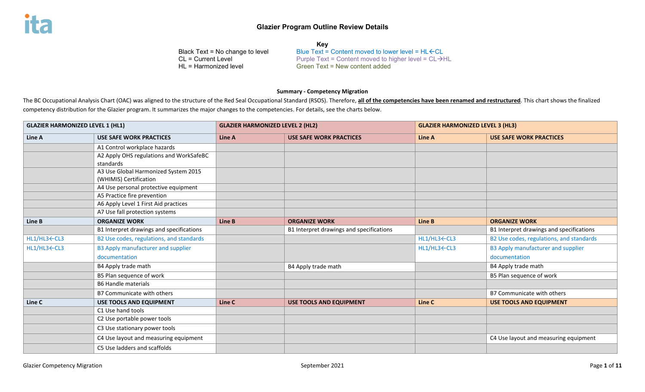| <b>Kev</b>                      |                                                                   |  |  |  |  |
|---------------------------------|-------------------------------------------------------------------|--|--|--|--|
| Black Text = No change to level | Blue Text = Content moved to lower level = $HL$ $\leftarrow$ CL   |  |  |  |  |
| CL = Current Level              | Purple Text = Content moved to higher level = $CL \rightarrow HL$ |  |  |  |  |
| HL = Harmonized level           | Green Text = New content added                                    |  |  |  |  |
|                                 |                                                                   |  |  |  |  |

#### **Summary - Competency Migration**

The BC Occupational Analysis Chart (OAC) was aligned to the structure of the Red Seal Occupational Standard (RSOS). Therefore, all of the competencies have been renamed and restructured. This chart shows the finalized competency distribution for the Glazier program. It summarizes the major changes to the competencies. For details, see the charts below.

| <b>GLAZIER HARMONIZED LEVEL 1 (HL1)</b> |                                                                | <b>GLAZIER HARMONIZED LEVEL 2 (HL2)</b> |                                          |             | <b>GLAZIER HARMONIZED LEVEL 3 (HL3)</b>  |  |
|-----------------------------------------|----------------------------------------------------------------|-----------------------------------------|------------------------------------------|-------------|------------------------------------------|--|
| Line A                                  | <b>USE SAFE WORK PRACTICES</b>                                 | Line A                                  | <b>USE SAFE WORK PRACTICES</b>           | Line A      | <b>USE SAFE WORK PRACTICES</b>           |  |
|                                         | A1 Control workplace hazards                                   |                                         |                                          |             |                                          |  |
|                                         | A2 Apply OHS regulations and WorkSafeBC<br>standards           |                                         |                                          |             |                                          |  |
|                                         | A3 Use Global Harmonized System 2015<br>(WHIMIS) Certification |                                         |                                          |             |                                          |  |
|                                         | A4 Use personal protective equipment                           |                                         |                                          |             |                                          |  |
|                                         | A5 Practice fire prevention                                    |                                         |                                          |             |                                          |  |
|                                         | A6 Apply Level 1 First Aid practices                           |                                         |                                          |             |                                          |  |
|                                         | A7 Use fall protection systems                                 |                                         |                                          |             |                                          |  |
| Line B                                  | <b>ORGANIZE WORK</b>                                           | Line B                                  | <b>ORGANIZE WORK</b>                     | Line B      | <b>ORGANIZE WORK</b>                     |  |
|                                         | B1 Interpret drawings and specifications                       |                                         | B1 Interpret drawings and specifications |             | B1 Interpret drawings and specifications |  |
| HL1/HL3←CL3                             | B2 Use codes, regulations, and standards                       |                                         |                                          | HL1/HL3←CL3 | B2 Use codes, regulations, and standards |  |
| HL1/HL3←CL3                             | B3 Apply manufacturer and supplier                             |                                         |                                          | HL1/HL3←CL3 | B3 Apply manufacturer and supplier       |  |
|                                         | documentation                                                  |                                         |                                          |             | documentation                            |  |
|                                         | B4 Apply trade math                                            |                                         | B4 Apply trade math                      |             | B4 Apply trade math                      |  |
|                                         | B5 Plan sequence of work                                       |                                         |                                          |             | B5 Plan sequence of work                 |  |
|                                         | <b>B6 Handle materials</b>                                     |                                         |                                          |             |                                          |  |
|                                         | B7 Communicate with others                                     |                                         |                                          |             | B7 Communicate with others               |  |
| Line C                                  | <b>USE TOOLS AND EQUIPMENT</b>                                 | Line C                                  | <b>USE TOOLS AND EQUIPMENT</b>           | Line C      | <b>USE TOOLS AND EQUIPMENT</b>           |  |
|                                         | C1 Use hand tools                                              |                                         |                                          |             |                                          |  |
|                                         | C2 Use portable power tools                                    |                                         |                                          |             |                                          |  |
|                                         | C3 Use stationary power tools                                  |                                         |                                          |             |                                          |  |
|                                         | C4 Use layout and measuring equipment                          |                                         |                                          |             | C4 Use layout and measuring equipment    |  |
|                                         | C5 Use ladders and scaffolds                                   |                                         |                                          |             |                                          |  |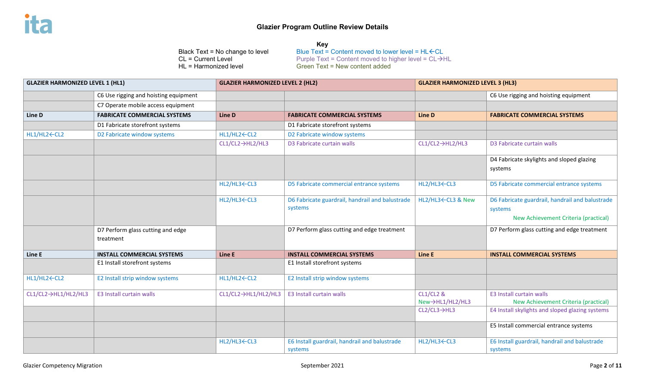| <b>GLAZIER HARMONIZED LEVEL 1 (HL1)</b> |                                                | <b>GLAZIER HARMONIZED LEVEL 2 (HL2)</b> |                                                            | <b>GLAZIER HARMONIZED LEVEL 3 (HL3)</b> |                                                                                                    |
|-----------------------------------------|------------------------------------------------|-----------------------------------------|------------------------------------------------------------|-----------------------------------------|----------------------------------------------------------------------------------------------------|
|                                         | C6 Use rigging and hoisting equipment          |                                         |                                                            |                                         | C6 Use rigging and hoisting equipment                                                              |
|                                         | C7 Operate mobile access equipment             |                                         |                                                            |                                         |                                                                                                    |
| Line D                                  | <b>FABRICATE COMMERCIAL SYSTEMS</b>            | Line D                                  | <b>FABRICATE COMMERCIAL SYSTEMS</b>                        | Line D                                  | <b>FABRICATE COMMERCIAL SYSTEMS</b>                                                                |
|                                         | D1 Fabricate storefront systems                |                                         | D1 Fabricate storefront systems                            |                                         |                                                                                                    |
| HL1/HL2←CL2                             | D2 Fabricate window systems                    | HL1/HL2 CL2                             | D2 Fabricate window systems                                |                                         |                                                                                                    |
|                                         |                                                | $CL1/CL2 \rightarrow HL2/HL3$           | D3 Fabricate curtain walls                                 | $CL1/CL2 \rightarrow HL2/HL3$           | D3 Fabricate curtain walls                                                                         |
|                                         |                                                |                                         |                                                            |                                         | D4 Fabricate skylights and sloped glazing<br>systems                                               |
|                                         |                                                | HL2/HL3 CL3                             | D5 Fabricate commercial entrance systems                   | HL2/HL3←CL3                             | D5 Fabricate commercial entrance systems                                                           |
|                                         |                                                | HL2/HL3 CL3                             | D6 Fabricate guardrail, handrail and balustrade<br>systems | HL2/HL3 ← CL3 & New                     | D6 Fabricate guardrail, handrail and balustrade<br>systems<br>New Achievement Criteria (practical) |
|                                         | D7 Perform glass cutting and edge<br>treatment |                                         | D7 Perform glass cutting and edge treatment                |                                         | D7 Perform glass cutting and edge treatment                                                        |
| Line E                                  | <b>INSTALL COMMERCIAL SYSTEMS</b>              | Line E                                  | <b>INSTALL COMMERCIAL SYSTEMS</b>                          | Line E                                  | <b>INSTALL COMMERCIAL SYSTEMS</b>                                                                  |
|                                         | E1 Install storefront systems                  |                                         | E1 Install storefront systems                              |                                         |                                                                                                    |
| HL1/HL2←CL2                             | E2 Install strip window systems                | HL1/HL2←CL2                             | E2 Install strip window systems                            |                                         |                                                                                                    |
| CL1/CL2→HL1/HL2/HL3                     | <b>E3 Install curtain walls</b>                | CL1/CL2→HL1/HL2/HL3                     | E3 Install curtain walls                                   | <b>CL1/CL2 &amp;</b><br>New→HL1/HL2/HL3 | <b>E3 Install curtain walls</b><br>New Achievement Criteria (practical)                            |
|                                         |                                                |                                         |                                                            | $CL2/CL3 \rightarrow HL3$               | E4 Install skylights and sloped glazing systems                                                    |
|                                         |                                                |                                         |                                                            |                                         | E5 Install commercial entrance systems                                                             |
|                                         |                                                | HL2/HL3 CL3                             | E6 Install guardrail, handrail and balustrade<br>systems   | HL2/HL3←CL3                             | E6 Install guardrail, handrail and balustrade<br>systems                                           |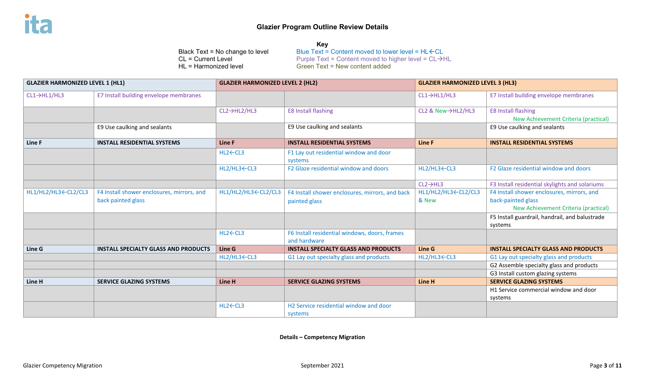**Key** Black Text = No change to level Blue Text = Content moved to lower level =  $HL$   $\leftarrow$  CL = Current Level = CL  $\rightarrow$  Furple Text = Content moved to higher level = CL  $\rightarrow$  Furple Text = Content moved to higher level = CL  $\rightarrow$ CL = Current Level  $\overline{C}$  Purple Text = Content moved to higher level = CL  $\rightarrow$  HL<br>HL = Harmonized level  $\overline{C}$  Green Text = New content added  $Green Text = New content added$ 

| <b>GLAZIER HARMONIZED LEVEL 1 (HL1)</b> |                                             | <b>GLAZIER HARMONIZED LEVEL 2 (HL2)</b> |                                                   | <b>GLAZIER HARMONIZED LEVEL 3 (HL3)</b>                                                  |                                                |
|-----------------------------------------|---------------------------------------------|-----------------------------------------|---------------------------------------------------|------------------------------------------------------------------------------------------|------------------------------------------------|
| $CL1 \rightarrow HL1/HL3$               | E7 Install building envelope membranes      |                                         |                                                   | $CL1 \rightarrow HL1/HL3$                                                                | E7 Install building envelope membranes         |
|                                         |                                             | $CL2 \rightarrow HL2/HL3$               | <b>E8 Install flashing</b>                        | CL2 & New→HL2/HL3                                                                        | <b>E8 Install flashing</b>                     |
|                                         |                                             |                                         |                                                   |                                                                                          | New Achievement Criteria (practical)           |
|                                         | E9 Use caulking and sealants                |                                         | E9 Use caulking and sealants                      |                                                                                          | E9 Use caulking and sealants                   |
| Line F                                  | <b>INSTALL RESIDENTIAL SYSTEMS</b>          | Line F                                  | <b>INSTALL RESIDENTIAL SYSTEMS</b>                | Line F                                                                                   | <b>INSTALL RESIDENTIAL SYSTEMS</b>             |
|                                         |                                             | HL2←CL3                                 | F1 Lay out residential window and door<br>systems |                                                                                          |                                                |
|                                         |                                             | HL2/HL3 CL3                             | F2 Glaze residential window and doors             | HL2/HL3←CL3                                                                              | F2 Glaze residential window and doors          |
|                                         |                                             |                                         |                                                   | $CL2 \rightarrow HL3$                                                                    | F3 Install residential skylights and solariums |
| HL1/HL2/HL3←CL2/CL3                     | F4 Install shower enclosures, mirrors, and  | HL1/HL2/HL3←CL2/CL3                     | F4 Install shower enclosures, mirrors, and back   | HL1/HL2/HL3 <cl2 cl3<="" th=""><th>F4 Install shower enclosures, mirrors, and</th></cl2> | F4 Install shower enclosures, mirrors, and     |
|                                         | back painted glass                          |                                         | painted glass                                     | & New                                                                                    | back-painted glass                             |
|                                         |                                             |                                         |                                                   |                                                                                          | New Achievement Criteria (practical)           |
|                                         |                                             |                                         |                                                   |                                                                                          | F5 Install guardrail, handrail, and balustrade |
|                                         |                                             |                                         |                                                   |                                                                                          | systems                                        |
|                                         |                                             | HL2←CL3                                 | F6 Install residential windows, doors, frames     |                                                                                          |                                                |
|                                         |                                             |                                         | and hardware                                      |                                                                                          |                                                |
| Line G                                  | <b>INSTALL SPECIALTY GLASS AND PRODUCTS</b> | Line G                                  | <b>INSTALL SPECIALTY GLASS AND PRODUCTS</b>       | Line G                                                                                   | <b>INSTALL SPECIALTY GLASS AND PRODUCTS</b>    |
|                                         |                                             | HL2/HL3 CL3                             | G1 Lay out specialty glass and products           | HL2/HL3 CL3                                                                              | G1 Lay out specialty glass and products        |
|                                         |                                             |                                         |                                                   |                                                                                          | G2 Assemble specialty glass and products       |
|                                         |                                             |                                         |                                                   |                                                                                          | G3 Install custom glazing systems              |
| Line H                                  | <b>SERVICE GLAZING SYSTEMS</b>              | Line H                                  | <b>SERVICE GLAZING SYSTEMS</b>                    | Line H                                                                                   | <b>SERVICE GLAZING SYSTEMS</b>                 |
|                                         |                                             |                                         |                                                   |                                                                                          | H1 Service commercial window and door          |
|                                         |                                             |                                         |                                                   |                                                                                          | systems                                        |
|                                         |                                             | HL2←CL3                                 | H2 Service residential window and door            |                                                                                          |                                                |
|                                         |                                             |                                         | systems                                           |                                                                                          |                                                |

**Details – Competency Migration**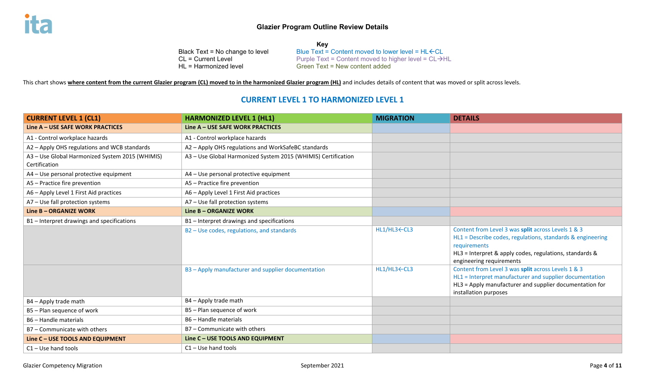**Key** Black Text = No change to level Blue Text = Content moved to lower level = HL $\leftarrow$ CL<br>CL = Current Level ext = Content moved to higher level = CL->F  $CL = Current Level$ <br>  $HL = Harmonized level$  Purple Text = Content moved to higher level =  $CL \rightarrow HL$ Green Text = New content added

This chart shows **where content from the current Glazier program (CL) moved to in the harmonized Glazier program (HL)** and includes details of content that was moved or split across levels.

## **CURRENT LEVEL 1 TO HARMONIZED LEVEL 1**

| <b>CURRENT LEVEL 1 (CL1)</b>                                     | <b>HARMONIZED LEVEL 1 (HL1)</b>                               | <b>MIGRATION</b> | <b>DETAILS</b>                                                                                                                                                                                                          |
|------------------------------------------------------------------|---------------------------------------------------------------|------------------|-------------------------------------------------------------------------------------------------------------------------------------------------------------------------------------------------------------------------|
| Line A - USE SAFE WORK PRACTICES                                 | Line A - USE SAFE WORK PRACTICES                              |                  |                                                                                                                                                                                                                         |
| A1 - Control workplace hazards                                   | A1 - Control workplace hazards                                |                  |                                                                                                                                                                                                                         |
| A2 - Apply OHS regulations and WCB standards                     | A2 - Apply OHS regulations and WorkSafeBC standards           |                  |                                                                                                                                                                                                                         |
| A3 - Use Global Harmonized System 2015 (WHIMIS)<br>Certification | A3 - Use Global Harmonized System 2015 (WHIMIS) Certification |                  |                                                                                                                                                                                                                         |
| A4 - Use personal protective equipment                           | A4 - Use personal protective equipment                        |                  |                                                                                                                                                                                                                         |
| A5 - Practice fire prevention                                    | A5 - Practice fire prevention                                 |                  |                                                                                                                                                                                                                         |
| A6 - Apply Level 1 First Aid practices                           | A6 - Apply Level 1 First Aid practices                        |                  |                                                                                                                                                                                                                         |
| A7 - Use fall protection systems                                 | A7 - Use fall protection systems                              |                  |                                                                                                                                                                                                                         |
| Line B - ORGANIZE WORK                                           | Line B - ORGANIZE WORK                                        |                  |                                                                                                                                                                                                                         |
| B1-Interpret drawings and specifications                         | B1-Interpret drawings and specifications                      |                  |                                                                                                                                                                                                                         |
|                                                                  | B2 - Use codes, regulations, and standards                    | HL1/HL3←CL3      | Content from Level 3 was split across Levels 1 & 3<br>HL1 = Describe codes, regulations, standards & engineering<br>requirements<br>HL3 = Interpret & apply codes, regulations, standards &<br>engineering requirements |
|                                                                  | B3 - Apply manufacturer and supplier documentation            | HL1/HL3←CL3      | Content from Level 3 was split across Levels 1 & 3<br>HL1 = Interpret manufacturer and supplier documentation<br>HL3 = Apply manufacturer and supplier documentation for<br>installation purposes                       |
| B4 - Apply trade math                                            | B4 - Apply trade math                                         |                  |                                                                                                                                                                                                                         |
| B5 - Plan sequence of work                                       | B5 - Plan sequence of work                                    |                  |                                                                                                                                                                                                                         |
| B6 - Handle materials                                            | B6 - Handle materials                                         |                  |                                                                                                                                                                                                                         |
| B7 - Communicate with others                                     | B7 - Communicate with others                                  |                  |                                                                                                                                                                                                                         |
| Line C - USE TOOLS AND EQUIPMENT                                 | Line C - USE TOOLS AND EQUIPMENT                              |                  |                                                                                                                                                                                                                         |
| $C1 - Use hand tools$                                            | $C1 - Use$ hand tools                                         |                  |                                                                                                                                                                                                                         |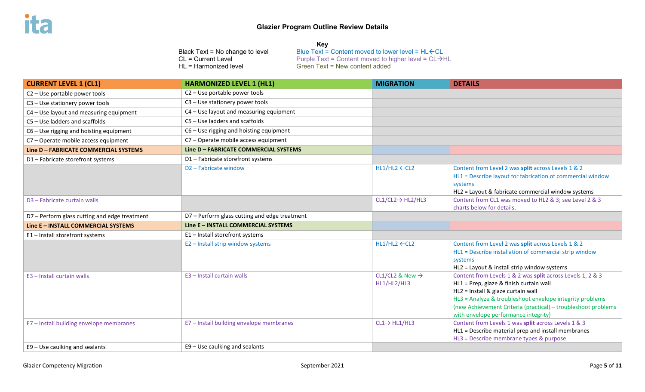Black Text = No change to level  $\qquad \qquad \text{Blue Text} = \text{Content moved to lower level} = \text{HL} \in \text{CL}$ CL = Current Level  $\overrightarrow{C}$  Purple Text = Content moved to higher level = CL  $\rightarrow$  HL<br>HL = Harmonized level  $\overrightarrow{C}$  Green Text = New content added  $Green Text = New content added$ 

| <b>CURRENT LEVEL 1 (CL1)</b>                  | <b>HARMONIZED LEVEL 1 (HL1)</b>               | <b>MIGRATION</b>                           | <b>DETAILS</b>                                                                                                                                                                                                                                                                                                   |
|-----------------------------------------------|-----------------------------------------------|--------------------------------------------|------------------------------------------------------------------------------------------------------------------------------------------------------------------------------------------------------------------------------------------------------------------------------------------------------------------|
| C2 - Use portable power tools                 | C2 - Use portable power tools                 |                                            |                                                                                                                                                                                                                                                                                                                  |
| C3 - Use stationery power tools               | C3 - Use stationery power tools               |                                            |                                                                                                                                                                                                                                                                                                                  |
| C4 - Use layout and measuring equipment       | C4 - Use layout and measuring equipment       |                                            |                                                                                                                                                                                                                                                                                                                  |
| $CS - Use$ ladders and scaffolds              | $CS - Use$ ladders and scaffolds              |                                            |                                                                                                                                                                                                                                                                                                                  |
| $C6 -$ Use rigging and hoisting equipment     | $C6 -$ Use rigging and hoisting equipment     |                                            |                                                                                                                                                                                                                                                                                                                  |
| C7 - Operate mobile access equipment          | C7 - Operate mobile access equipment          |                                            |                                                                                                                                                                                                                                                                                                                  |
| Line D - FABRICATE COMMERCIAL SYSTEMS         | Line D - FABRICATE COMMERCIAL SYSTEMS         |                                            |                                                                                                                                                                                                                                                                                                                  |
| D1-Fabricate storefront systems               | D1-Fabricate storefront systems               |                                            |                                                                                                                                                                                                                                                                                                                  |
|                                               | D2 - Fabricate window                         | $HL1/HL2 \leftarrow CL2$                   | Content from Level 2 was split across Levels 1 & 2<br>HL1 = Describe layout for fabrication of commercial window<br>systems<br>HL2 = Layout & fabricate commercial window systems                                                                                                                                |
| D3 - Fabricate curtain walls                  |                                               | $CL1/CL2 \rightarrow HL2/HL3$              | Content from CL1 was moved to HL2 & 3; see Level 2 & 3<br>charts below for details.                                                                                                                                                                                                                              |
| D7 - Perform glass cutting and edge treatment | D7 - Perform glass cutting and edge treatment |                                            |                                                                                                                                                                                                                                                                                                                  |
| Line E - INSTALL COMMERCIAL SYSTEMS           | Line E - INSTALL COMMERCIAL SYSTEMS           |                                            |                                                                                                                                                                                                                                                                                                                  |
| E1-Install storefront systems                 | E1 - Install storefront systems               |                                            |                                                                                                                                                                                                                                                                                                                  |
|                                               | E2 - Install strip window systems             | $HL1/HL2 \leftarrow CL2$                   | Content from Level 2 was split across Levels 1 & 2<br>HL1 = Describe installation of commercial strip window<br>systems<br>HL2 = Layout & install strip window systems                                                                                                                                           |
| E3 - Install curtain walls                    | E3 - Install curtain walls                    | CL1/CL2 & New $\rightarrow$<br>HL1/HL2/HL3 | Content from Levels 1 & 2 was split across Levels 1, 2 & 3<br>HL1 = Prep, glaze & finish curtain wall<br>HL2 = Install & glaze curtain wall<br>HL3 = Analyze & troubleshoot envelope integrity problems<br>(new Achievement Criteria (practical) - troubleshoot problems<br>with envelope performance integrity) |
| E7 - Install building envelope membranes      | E7 - Install building envelope membranes      | $CL1 \rightarrow HL1/HL3$                  | Content from Levels 1 was split across Levels 1 & 3<br>HL1 = Describe material prep and install membranes<br>HL3 = Describe membrane types & purpose                                                                                                                                                             |
| E9 - Use caulking and sealants                | E9 - Use caulking and sealants                |                                            |                                                                                                                                                                                                                                                                                                                  |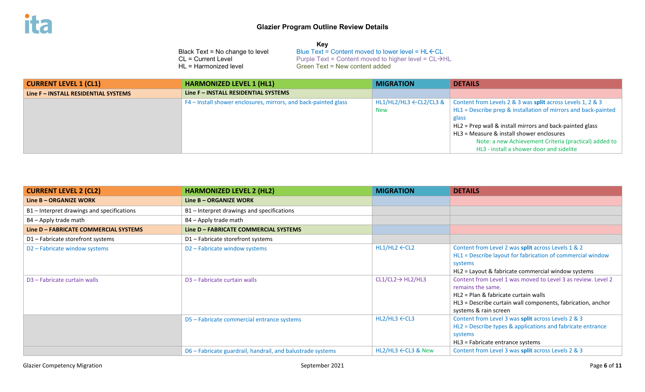| <b>CURRENT LEVEL 1 (CL1)</b>         | <b>HARMONIZED LEVEL 1 (HL1)</b>                                 | <b>MIGRATION</b>                   | <b>DETAILS</b>                                                 |
|--------------------------------------|-----------------------------------------------------------------|------------------------------------|----------------------------------------------------------------|
| Line F - INSTALL RESIDENTIAL SYSTEMS | Line F - INSTALL RESIDENTIAL SYSTEMS                            |                                    |                                                                |
|                                      | F4 - Install shower enclosures, mirrors, and back-painted glass | $HL1/HL2/HL3 \leftarrow CL2/CL3$ & | Content from Levels 2 & 3 was split across Levels 1, 2 & 3     |
|                                      |                                                                 | <b>New</b>                         | HL1 = Describe prep & installation of mirrors and back-painted |
|                                      |                                                                 |                                    | glass                                                          |
|                                      |                                                                 |                                    | HL2 = Prep wall & install mirrors and back-painted glass       |
|                                      |                                                                 |                                    | HL3 = Measure & install shower enclosures                      |
|                                      |                                                                 |                                    | Note: a new Achievement Criteria (practical) added to          |
|                                      |                                                                 |                                    | HL3 - install a shower door and sidelite                       |

| <b>CURRENT LEVEL 2 (CL2)</b>               | <b>HARMONIZED LEVEL 2 (HL2)</b>                            | <b>MIGRATION</b>               | <b>DETAILS</b>                                                                                                                                                                                                    |
|--------------------------------------------|------------------------------------------------------------|--------------------------------|-------------------------------------------------------------------------------------------------------------------------------------------------------------------------------------------------------------------|
| Line B - ORGANIZE WORK                     | Line B - ORGANIZE WORK                                     |                                |                                                                                                                                                                                                                   |
| B1 – Interpret drawings and specifications | B1 – Interpret drawings and specifications                 |                                |                                                                                                                                                                                                                   |
| B4 - Apply trade math                      | B4 - Apply trade math                                      |                                |                                                                                                                                                                                                                   |
| Line D - FABRICATE COMMERCIAL SYSTEMS      | Line D - FABRICATE COMMERCIAL SYSTEMS                      |                                |                                                                                                                                                                                                                   |
| D1-Fabricate storefront systems            | D1 - Fabricate storefront systems                          |                                |                                                                                                                                                                                                                   |
| D <sub>2</sub> – Fabricate window systems  | D <sub>2</sub> – Fabricate window systems                  | $HL1/HL2 \leftarrow CL2$       | Content from Level 2 was split across Levels 1 & 2<br>HL1 = Describe layout for fabrication of commercial window<br>systems<br>HL2 = Layout & fabricate commercial window systems                                 |
| D <sub>3</sub> - Fabricate curtain walls   | D <sub>3</sub> - Fabricate curtain walls                   | $CL1/CL2 \rightarrow HL2/HL3$  | Content from Level 1 was moved to Level 3 as review. Level 2<br>remains the same.<br>HL2 = Plan & fabricate curtain walls<br>HL3 = Describe curtain wall components, fabrication, anchor<br>systems & rain screen |
|                                            | D5 - Fabricate commercial entrance systems                 | $HL2/HL3 \leftarrow CL3$       | Content from Level 3 was split across Levels 2 & 3<br>HL2 = Describe types & applications and fabricate entrance<br>systems<br>HL3 = Fabricate entrance systems                                                   |
|                                            | D6 – Fabricate guardrail, handrail, and balustrade systems | $HL2/HL3 \leftarrow CL3$ & New | Content from Level 3 was split across Levels 2 & 3                                                                                                                                                                |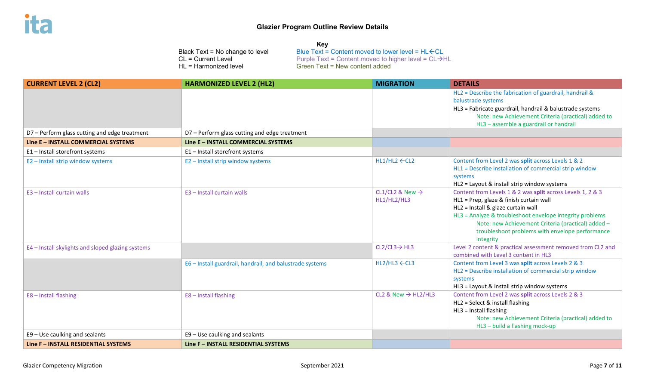| <b>CURRENT LEVEL 2 (CL2)</b>                      | <b>HARMONIZED LEVEL 2 (HL2)</b>                          | <b>MIGRATION</b>                | <b>DETAILS</b>                                                                                               |
|---------------------------------------------------|----------------------------------------------------------|---------------------------------|--------------------------------------------------------------------------------------------------------------|
|                                                   |                                                          |                                 | HL2 = Describe the fabrication of guardrail, handrail &                                                      |
|                                                   |                                                          |                                 | balustrade systems                                                                                           |
|                                                   |                                                          |                                 | HL3 = Fabricate guardrail, handrail & balustrade systems                                                     |
|                                                   |                                                          |                                 | Note: new Achievement Criteria (practical) added to                                                          |
|                                                   |                                                          |                                 | HL3 - assemble a guardrail or handrail                                                                       |
| D7 - Perform glass cutting and edge treatment     | D7 - Perform glass cutting and edge treatment            |                                 |                                                                                                              |
| Line E - INSTALL COMMERCIAL SYSTEMS               | Line E - INSTALL COMMERCIAL SYSTEMS                      |                                 |                                                                                                              |
| E1-Install storefront systems                     | E1 - Install storefront systems                          |                                 |                                                                                                              |
| E2 - Install strip window systems                 | E2 - Install strip window systems                        | $HL1/HL2 \leftarrow CL2$        | Content from Level 2 was split across Levels 1 & 2                                                           |
|                                                   |                                                          |                                 | HL1 = Describe installation of commercial strip window                                                       |
|                                                   |                                                          |                                 | systems                                                                                                      |
|                                                   |                                                          |                                 | HL2 = Layout & install strip window systems                                                                  |
| E3 - Install curtain walls                        | E3 - Install curtain walls                               | CL1/CL2 & New $\rightarrow$     | Content from Levels 1 & 2 was split across Levels 1, 2 & 3                                                   |
|                                                   |                                                          | HL1/HL2/HL3                     | HL1 = Prep, glaze & finish curtain wall                                                                      |
|                                                   |                                                          |                                 | HL2 = Install & glaze curtain wall                                                                           |
|                                                   |                                                          |                                 | HL3 = Analyze & troubleshoot envelope integrity problems                                                     |
|                                                   |                                                          |                                 | Note: new Achievement Criteria (practical) added -                                                           |
|                                                   |                                                          |                                 | troubleshoot problems with envelope performance                                                              |
|                                                   |                                                          |                                 | integrity                                                                                                    |
| E4 - Install skylights and sloped glazing systems |                                                          | $CL2/CL3 \rightarrow HL3$       | Level 2 content & practical assessment removed from CL2 and                                                  |
|                                                   |                                                          |                                 | combined with Level 3 content in HL3                                                                         |
|                                                   | E6 - Install guardrail, handrail, and balustrade systems | $HL2/HL3 \leftarrow CL3$        | Content from Level 3 was split across Levels 2 & 3<br>HL2 = Describe installation of commercial strip window |
|                                                   |                                                          |                                 |                                                                                                              |
|                                                   |                                                          |                                 | systems<br>HL3 = Layout & install strip window systems                                                       |
| E8-Install flashing                               | E8-Install flashing                                      | CL2 & New $\rightarrow$ HL2/HL3 | Content from Level 2 was split across Levels 2 & 3                                                           |
|                                                   |                                                          |                                 | HL2 = Select & install flashing                                                                              |
|                                                   |                                                          |                                 | HL3 = Install flashing                                                                                       |
|                                                   |                                                          |                                 | Note: new Achievement Criteria (practical) added to                                                          |
|                                                   |                                                          |                                 | HL3 - build a flashing mock-up                                                                               |
| E9 - Use caulking and sealants                    | E9 - Use caulking and sealants                           |                                 |                                                                                                              |
| Line F - INSTALL RESIDENTIAL SYSTEMS              | Line F - INSTALL RESIDENTIAL SYSTEMS                     |                                 |                                                                                                              |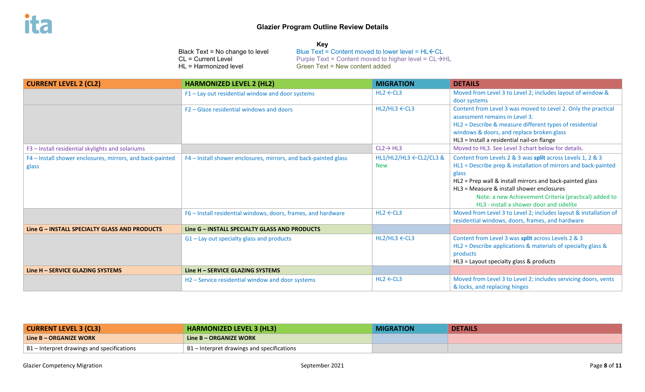| ck Text = No change to level |  |
|------------------------------|--|
| = Current Level              |  |
| = Harmonized level           |  |

**Key** Black Text = No change to level Blue Text = Content moved to lower level = HL $\leftarrow$ CL<br>CL = Current Level ext = Content moved to higher level = CL->F CL = Current Level  $\overline{C}$  Purple Text = Content moved to higher level = CL  $\rightarrow$  HL<br>HL = Harmonized level  $\overline{C}$  Green Text = New content added  $Green Text = New content added$ 

| <b>CURRENT LEVEL 2 (CL2)</b>                                       | <b>HARMONIZED LEVEL 2 (HL2)</b>                                                                                                  | <b>MIGRATION</b>                                                         | <b>DETAILS</b>                                                                                                                                                                                                                                                                                                                                                                                                                                                                |
|--------------------------------------------------------------------|----------------------------------------------------------------------------------------------------------------------------------|--------------------------------------------------------------------------|-------------------------------------------------------------------------------------------------------------------------------------------------------------------------------------------------------------------------------------------------------------------------------------------------------------------------------------------------------------------------------------------------------------------------------------------------------------------------------|
|                                                                    | F1-Lay out residential window and door systems                                                                                   | $HL2 \leftarrow CL3$                                                     | Moved from Level 3 to Level 2; includes layout of window &<br>door systems                                                                                                                                                                                                                                                                                                                                                                                                    |
|                                                                    | F2 – Glaze residential windows and doors                                                                                         | $HL2/HL3 \leftarrow CL3$                                                 | Content from Level 3 was moved to Level 2. Only the practical<br>assessment remains in Level 3.<br>HL2 = Describe & measure different types of residential<br>windows & doors, and replace broken glass<br>HL3 = Install a residential nail-on flange                                                                                                                                                                                                                         |
| F3 - Install residential skylights and solariums                   |                                                                                                                                  | $CL2 \rightarrow HL3$                                                    | Moved to HL3. See Level 3 chart below for details.                                                                                                                                                                                                                                                                                                                                                                                                                            |
| F4 - Install shower enclosures, mirrors, and back-painted<br>glass | F4 - Install shower enclosures, mirrors, and back-painted glass<br>F6 - Install residential windows, doors, frames, and hardware | $HL1/HL2/HL3 \leftarrow CL2/CL3$ &<br><b>New</b><br>$HL2 \leftarrow CL3$ | Content from Levels 2 & 3 was split across Levels 1, 2 & 3<br>HL1 = Describe prep & installation of mirrors and back-painted<br>glass<br>HL2 = Prep wall & install mirrors and back-painted glass<br>$H13$ = Measure & install shower enclosures<br>Note: a new Achievement Criteria (practical) added to<br>HL3 - install a shower door and sidelite<br>Moved from Level 3 to Level 2; includes layout & installation of<br>residential windows, doors, frames, and hardware |
| Line G - INSTALL SPECIALTY GLASS AND PRODUCTS                      | Line G - INSTALL SPECIALTY GLASS AND PRODUCTS                                                                                    |                                                                          |                                                                                                                                                                                                                                                                                                                                                                                                                                                                               |
|                                                                    | $G1$ – Lay out specialty glass and products                                                                                      | $HL2/HL3 \leftarrow CL3$                                                 | Content from Level 3 was split across Levels 2 & 3<br>HL2 = Describe applications & materials of specialty glass &<br>products<br>HL3 = Layout specialty glass & products                                                                                                                                                                                                                                                                                                     |
| Line H – SERVICE GLAZING SYSTEMS                                   | Line H - SERVICE GLAZING SYSTEMS                                                                                                 |                                                                          |                                                                                                                                                                                                                                                                                                                                                                                                                                                                               |
|                                                                    | H2 - Service residential window and door systems                                                                                 | $HL2 \leftarrow CL3$                                                     | Moved from Level 3 to Level 2; includes servicing doors, vents<br>& locks, and replacing hinges                                                                                                                                                                                                                                                                                                                                                                               |

| <b>CURRENT LEVEL 3 (CL3)</b>               | <b>HARMONIZED LEVEL 3 (HL3)</b>                    | <b>MIGRATION</b> | <b>DETAILS</b> |
|--------------------------------------------|----------------------------------------------------|------------------|----------------|
| Line B – ORGANIZE WORK                     | Line B – ORGANIZE WORK                             |                  |                |
| B1 – Interpret drawings and specifications | $\vert$ B1 – Interpret drawings and specifications |                  |                |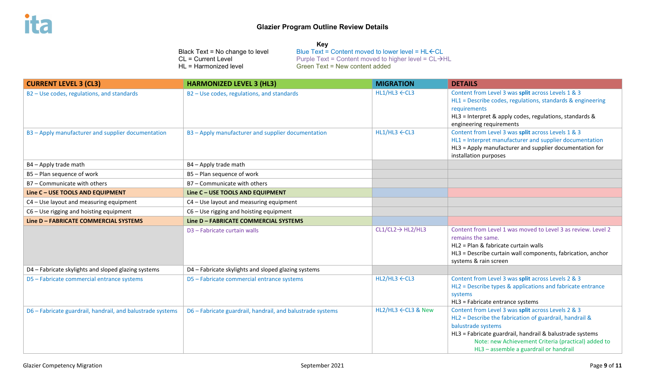| <b>CURRENT LEVEL 3 (CL3)</b>                               | <b>HARMONIZED LEVEL 3 (HL3)</b>                            | <b>MIGRATION</b>              | <b>DETAILS</b>                                                                                                                                                                                                                                                                                   |
|------------------------------------------------------------|------------------------------------------------------------|-------------------------------|--------------------------------------------------------------------------------------------------------------------------------------------------------------------------------------------------------------------------------------------------------------------------------------------------|
| B2 - Use codes, regulations, and standards                 | B2 - Use codes, regulations, and standards                 | $HL1/HL3 \leftarrow CL3$      | Content from Level 3 was split across Levels 1 & 3<br>HL1 = Describe codes, regulations, standards & engineering<br>requirements<br>HL3 = Interpret & apply codes, regulations, standards &<br>engineering requirements                                                                          |
| B3 - Apply manufacturer and supplier documentation         | B3 - Apply manufacturer and supplier documentation         | $HL1/HL3 \leftarrow CL3$      | Content from Level 3 was split across Levels 1 & 3<br>HL1 = Interpret manufacturer and supplier documentation<br>HL3 = Apply manufacturer and supplier documentation for<br>installation purposes                                                                                                |
| B4 - Apply trade math                                      | B4 - Apply trade math                                      |                               |                                                                                                                                                                                                                                                                                                  |
| B5 - Plan sequence of work                                 | B5 - Plan sequence of work                                 |                               |                                                                                                                                                                                                                                                                                                  |
| B7 - Communicate with others                               | B7 - Communicate with others                               |                               |                                                                                                                                                                                                                                                                                                  |
| Line C - USE TOOLS AND EQUIPMENT                           | Line C - USE TOOLS AND EQUIPMENT                           |                               |                                                                                                                                                                                                                                                                                                  |
| C4 - Use layout and measuring equipment                    | C4 - Use layout and measuring equipment                    |                               |                                                                                                                                                                                                                                                                                                  |
| C6 - Use rigging and hoisting equipment                    | C6 - Use rigging and hoisting equipment                    |                               |                                                                                                                                                                                                                                                                                                  |
| Line D - FABRICATE COMMERCIAL SYSTEMS                      | Line D - FABRICATE COMMERCIAL SYSTEMS                      |                               |                                                                                                                                                                                                                                                                                                  |
|                                                            | D3 - Fabricate curtain walls                               | $CL1/CL2 \rightarrow HL2/HL3$ | Content from Level 1 was moved to Level 3 as review. Level 2<br>remains the same.<br>HL2 = Plan & fabricate curtain walls<br>HL3 = Describe curtain wall components, fabrication, anchor<br>systems & rain screen                                                                                |
| D4 - Fabricate skylights and sloped glazing systems        | D4 - Fabricate skylights and sloped glazing systems        |                               |                                                                                                                                                                                                                                                                                                  |
| D5 - Fabricate commercial entrance systems                 | D5 - Fabricate commercial entrance systems                 | $HL2/HL3 \leftarrow CL3$      | Content from Level 3 was split across Levels 2 & 3<br>HL2 = Describe types & applications and fabricate entrance<br>systems<br>HL3 = Fabricate entrance systems                                                                                                                                  |
| D6 - Fabricate guardrail, handrail, and balustrade systems | D6 - Fabricate guardrail, handrail, and balustrade systems | HL2/HL3 ←CL3 & New            | Content from Level 3 was split across Levels 2 & 3<br>HL2 = Describe the fabrication of guardrail, handrail &<br>balustrade systems<br>HL3 = Fabricate guardrail, handrail & balustrade systems<br>Note: new Achievement Criteria (practical) added to<br>HL3 - assemble a guardrail or handrail |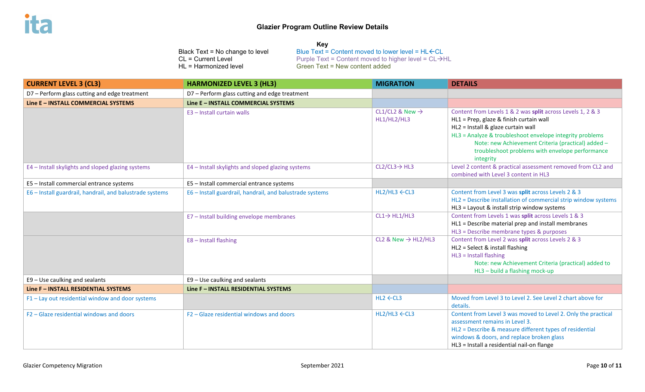#### **Key**

| <b>CURRENT LEVEL 3 (CL3)</b>                             | <b>HARMONIZED LEVEL 3 (HL3)</b>                          | <b>MIGRATION</b>                           | <b>DETAILS</b>                                                                                                                                                                                                                                                                                                                |
|----------------------------------------------------------|----------------------------------------------------------|--------------------------------------------|-------------------------------------------------------------------------------------------------------------------------------------------------------------------------------------------------------------------------------------------------------------------------------------------------------------------------------|
| D7 - Perform glass cutting and edge treatment            | D7 - Perform glass cutting and edge treatment            |                                            |                                                                                                                                                                                                                                                                                                                               |
| Line E - INSTALL COMMERCIAL SYSTEMS                      | Line E - INSTALL COMMERCIAL SYSTEMS                      |                                            |                                                                                                                                                                                                                                                                                                                               |
|                                                          | E3 - Install curtain walls                               | CL1/CL2 & New $\rightarrow$<br>HL1/HL2/HL3 | Content from Levels 1 & 2 was split across Levels 1, 2 & 3<br>HL1 = Prep, glaze & finish curtain wall<br>HL2 = Install & glaze curtain wall<br>HL3 = Analyze & troubleshoot envelope integrity problems<br>Note: new Achievement Criteria (practical) added -<br>troubleshoot problems with envelope performance<br>integrity |
| E4 - Install skylights and sloped glazing systems        | E4 - Install skylights and sloped glazing systems        | $CL2/CL3 \rightarrow HL3$                  | Level 2 content & practical assessment removed from CL2 and<br>combined with Level 3 content in HL3                                                                                                                                                                                                                           |
| E5 - Install commercial entrance systems                 | E5 - Install commercial entrance systems                 |                                            |                                                                                                                                                                                                                                                                                                                               |
| E6 - Install guardrail, handrail, and balustrade systems | E6 - Install guardrail, handrail, and balustrade systems | $HL2/HL3 \leftarrow CL3$                   | Content from Level 3 was split across Levels 2 & 3<br>HL2 = Describe installation of commercial strip window systems<br>HL3 = Layout & install strip window systems                                                                                                                                                           |
|                                                          | E7 - Install building envelope membranes                 | $CL1 \rightarrow HL1/HL3$                  | Content from Levels 1 was split across Levels 1 & 3<br>HL1 = Describe material prep and install membranes<br>HL3 = Describe membrane types & purposes                                                                                                                                                                         |
|                                                          | E8-Install flashing                                      | CL2 & New $\rightarrow$ HL2/HL3            | Content from Level 2 was split across Levels 2 & 3<br>HL2 = Select & install flashing<br>HL3 = Install flashing<br>Note: new Achievement Criteria (practical) added to<br>HL3 - build a flashing mock-up                                                                                                                      |
| E9 - Use caulking and sealants                           | E9 - Use caulking and sealants                           |                                            |                                                                                                                                                                                                                                                                                                                               |
| Line F - INSTALL RESIDENTIAL SYSTEMS                     | Line F - INSTALL RESIDENTIAL SYSTEMS                     |                                            |                                                                                                                                                                                                                                                                                                                               |
| F1-Lay out residential window and door systems           |                                                          | $HL2 \leftarrow CL3$                       | Moved from Level 3 to Level 2. See Level 2 chart above for<br>details.                                                                                                                                                                                                                                                        |
| F2 - Glaze residential windows and doors                 | F2-Glaze residential windows and doors                   | $HL2/HL3 \leftarrow CL3$                   | Content from Level 3 was moved to Level 2. Only the practical<br>assessment remains in Level 3.<br>HL2 = Describe & measure different types of residential<br>windows & doors, and replace broken glass<br>HL3 = Install a residential nail-on flange                                                                         |